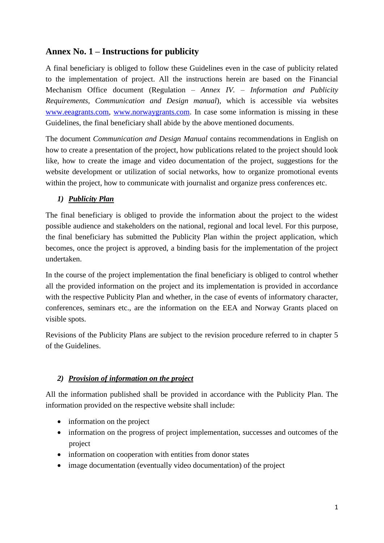# **Annex No. 1 – Instructions for publicity**

A final beneficiary is obliged to follow these Guidelines even in the case of publicity related to the implementation of project. All the instructions herein are based on the Financial Mechanism Office document (Regulation – *Annex IV. – Information and Publicity Requirements, Communication and Design manual*), which is accessible via websites [www.eeagrants.com,](http://www.eeagrants.com/) [www.norwaygrants.com.](http://www.norwaygrants.com/) In case some information is missing in these Guidelines, the final beneficiary shall abide by the above mentioned documents.

The document *Communication and Design Manual* contains recommendations in English on how to create a presentation of the project, how publications related to the project should look like, how to create the image and video documentation of the project, suggestions for the website development or utilization of social networks, how to organize promotional events within the project, how to communicate with journalist and organize press conferences etc.

## *1) Publicity Plan*

The final beneficiary is obliged to provide the information about the project to the widest possible audience and stakeholders on the national, regional and local level. For this purpose, the final beneficiary has submitted the Publicity Plan within the project application, which becomes, once the project is approved, a binding basis for the implementation of the project undertaken.

In the course of the project implementation the final beneficiary is obliged to control whether all the provided information on the project and its implementation is provided in accordance with the respective Publicity Plan and whether, in the case of events of informatory character, conferences, seminars etc., are the information on the EEA and Norway Grants placed on visible spots.

Revisions of the Publicity Plans are subject to the revision procedure referred to in chapter 5 of the Guidelines.

## *2) Provision of information on the project*

All the information published shall be provided in accordance with the Publicity Plan. The information provided on the respective website shall include:

- information on the project
- information on the progress of project implementation, successes and outcomes of the project
- information on cooperation with entities from donor states
- image documentation (eventually video documentation) of the project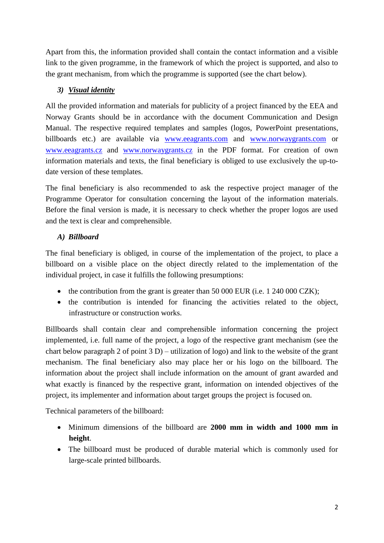Apart from this, the information provided shall contain the contact information and a visible link to the given programme, in the framework of which the project is supported, and also to the grant mechanism, from which the programme is supported (see the chart below).

# *3) Visual identity*

All the provided information and materials for publicity of a project financed by the EEA and Norway Grants should be in accordance with the document Communication and Design Manual. The respective required templates and samples (logos, PowerPoint presentations, billboards etc.) are available via [www.eeagrants.com](http://www.eeagrants.com/) and [www.norwaygrants.com](http://www.norwaygrants.com/) or [www.eeagrants.cz](http://www.eeagrants.cz/) and [www.norwaygrants.cz](http://www.norwaygrants.cz/) in the PDF format. For creation of own information materials and texts, the final beneficiary is obliged to use exclusively the up-todate version of these templates.

The final beneficiary is also recommended to ask the respective project manager of the Programme Operator for consultation concerning the layout of the information materials. Before the final version is made, it is necessary to check whether the proper logos are used and the text is clear and comprehensible.

# *A) Billboard*

The final beneficiary is obliged, in course of the implementation of the project, to place a billboard on a visible place on the object directly related to the implementation of the individual project, in case it fulfills the following presumptions:

- the contribution from the grant is greater than  $50\,000\,\text{EUR}$  (i.e. 1 240 000 CZK);
- the contribution is intended for financing the activities related to the object, infrastructure or construction works.

Billboards shall contain clear and comprehensible information concerning the project implemented, i.e. full name of the project, a logo of the respective grant mechanism (see the chart below paragraph 2 of point 3 D) – utilization of logo) and link to the website of the grant mechanism. The final beneficiary also may place her or his logo on the billboard. The information about the project shall include information on the amount of grant awarded and what exactly is financed by the respective grant, information on intended objectives of the project, its implementer and information about target groups the project is focused on.

Technical parameters of the billboard:

- Minimum dimensions of the billboard are **2000 mm in width and 1000 mm in height**.
- The billboard must be produced of durable material which is commonly used for large-scale printed billboards.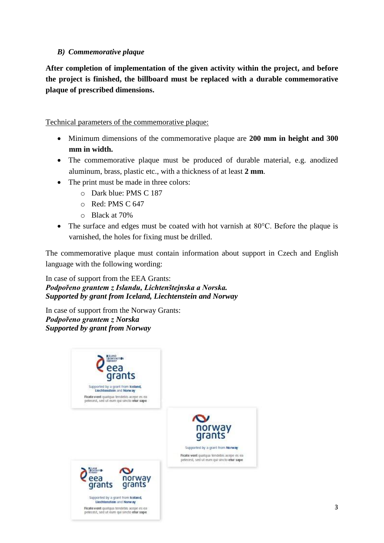### *B) Commemorative plaque*

**After completion of implementation of the given activity within the project, and before the project is finished, the billboard must be replaced with a durable commemorative plaque of prescribed dimensions.**

Technical parameters of the commemorative plaque:

- Minimum dimensions of the commemorative plaque are **200 mm in height and 300 mm in width.**
- The commemorative plaque must be produced of durable material, e.g. anodized aluminum, brass, plastic etc., with a thickness of at least **2 mm**.
- The print must be made in three colors:
	- o Dark blue: PMS C 187
	- o Red: PMS C 647
	- o Black at 70%
- The surface and edges must be coated with hot varnish at 80°C. Before the plaque is varnished, the holes for fixing must be drilled.

The commemorative plaque must contain information about support in Czech and English language with the following wording:

In case of support from the EEA Grants: *Podpořeno grantem z Islandu, Lichtenštejnska a Norska. Supported by grant from Iceland, Liechtenstein and Norway*

In case of support from the Norway Grants: *Podpořeno grantem z Norska Supported by grant from Norway*

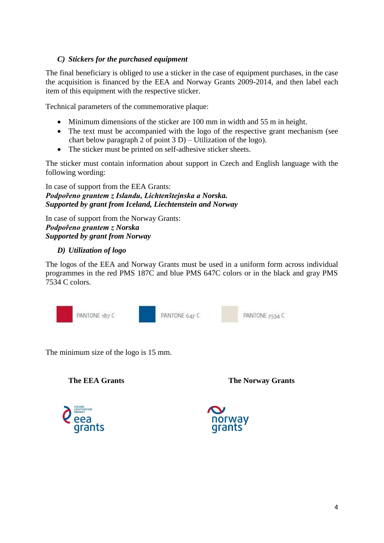### *C) Stickers for the purchased equipment*

The final beneficiary is obliged to use a sticker in the case of equipment purchases, in the case the acquisition is financed by the EEA and Norway Grants 2009-2014, and then label each item of this equipment with the respective sticker.

Technical parameters of the commemorative plaque:

- Minimum dimensions of the sticker are 100 mm in width and 55 m in height.
- The text must be accompanied with the logo of the respective grant mechanism (see chart below paragraph 2 of point 3 D) – Utilization of the logo).
- The sticker must be printed on self-adhesive sticker sheets.

The sticker must contain information about support in Czech and English language with the following wording:

In case of support from the EEA Grants: *Podpořeno grantem z Islandu, Lichtenštejnska a Norska. Supported by grant from Iceland, Liechtenstein and Norway*

In case of support from the Norway Grants: *Podpořeno grantem z Norska Supported by grant from Norway*

### *D) Utilization of logo*

The logos of the EEA and Norway Grants must be used in a uniform form across individual programmes in the red PMS 187C and blue PMS 647C colors or in the black and gray PMS 7534 C colors.



The minimum size of the logo is 15 mm.

**The EEA Grants The Norway Grants**



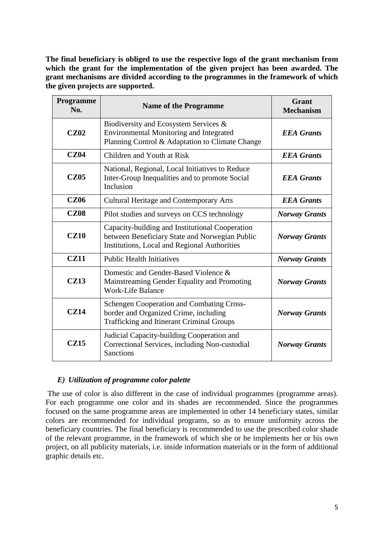**The final beneficiary is obliged to use the respective logo of the grant mechanism from which the grant for the implementation of the given project has been awarded. The grant mechanisms are divided according to the programmes in the framework of which the given projects are supported.**

| <b>Programme</b><br>No. | <b>Name of the Programme</b>                                                                                                                      | <b>Grant</b><br><b>Mechanism</b> |
|-------------------------|---------------------------------------------------------------------------------------------------------------------------------------------------|----------------------------------|
| <b>CZ02</b>             | Biodiversity and Ecosystem Services &<br>Environmental Monitoring and Integrated<br>Planning Control & Adaptation to Climate Change               | <b>EEA</b> Grants                |
| <b>CZ04</b>             | Children and Youth at Risk                                                                                                                        | <b>EEA</b> Grants                |
| <b>CZ05</b>             | National, Regional, Local Initiatives to Reduce<br>Inter-Group Inequalities and to promote Social<br><b>EEA</b> Grants<br>Inclusion               |                                  |
| <b>CZ06</b>             | <b>Cultural Heritage and Contemporary Arts</b>                                                                                                    | <b>EEA</b> Grants                |
| <b>CZ08</b>             | Pilot studies and surveys on CCS technology                                                                                                       | <b>Norway Grants</b>             |
| <b>CZ10</b>             | Capacity-building and Institutional Cooperation<br>between Beneficiary State and Norwegian Public<br>Institutions, Local and Regional Authorities | <b>Norway Grants</b>             |
| <b>CZ11</b>             | <b>Public Health Initiatives</b>                                                                                                                  | <b>Norway Grants</b>             |
| CZ13                    | Domestic and Gender-Based Violence &<br>Mainstreaming Gender Equality and Promoting<br><b>Work-Life Balance</b>                                   | <b>Norway Grants</b>             |
| CZ14                    | <b>Schengen Cooperation and Combating Cross-</b><br>border and Organized Crime, including<br><b>Trafficking and Itinerant Criminal Groups</b>     | <b>Norway Grants</b>             |
| <b>CZ15</b>             | Judicial Capacity-building Cooperation and<br>Correctional Services, including Non-custodial<br><b>Sanctions</b>                                  | <b>Norway Grants</b>             |

#### *E) Utilization of programme color palette*

The use of color is also different in the case of individual programmes (programme areas). For each programme one color and its shades are recommended. Since the programmes focused on the same programme areas are implemented in other 14 beneficiary states, similar colors are recommended for individual programs, so as to ensure uniformity across the beneficiary countries. The final beneficiary is recommended to use the prescribed color shade of the relevant programme, in the framework of which she or he implements her or his own project, on all publicity materials, i.e. inside information materials or in the form of additional graphic details etc.